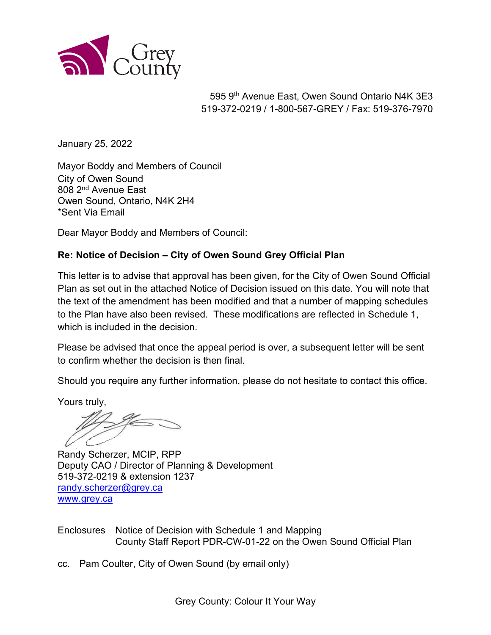

595 9th Avenue East, Owen Sound Ontario N4K 3E3 519-372-0219 / 1-800-567-GREY / Fax: 519-376-7970

January 25, 2022

Mayor Boddy and Members of Council City of Owen Sound 808 2nd Avenue East Owen Sound, Ontario, N4K 2H4 \*Sent Via Email

Dear Mayor Boddy and Members of Council:

#### **Re: Notice of Decision – City of Owen Sound Grey Official Plan**

This letter is to advise that approval has been given, for the City of Owen Sound Official Plan as set out in the attached Notice of Decision issued on this date. You will note that the text of the amendment has been modified and that a number of mapping schedules to the Plan have also been revised. These modifications are reflected in Schedule 1, which is included in the decision.

Please be advised that once the appeal period is over, a subsequent letter will be sent to confirm whether the decision is then final.

Should you require any further information, please do not hesitate to contact this office.

Yours truly,

Randy Scherzer, MCIP, RPP Deputy CAO / Director of Planning & Development 519-372-0219 & extension 1237 [randy.scherzer@grey.ca](mailto:randy.scherzer@grey.ca)  www.grey.ca

Enclosures Notice of Decision with Schedule 1 and Mapping County Staff Report PDR-CW-01-22 on the Owen Sound Official Plan

cc. Pam Coulter, City of Owen Sound (by email only)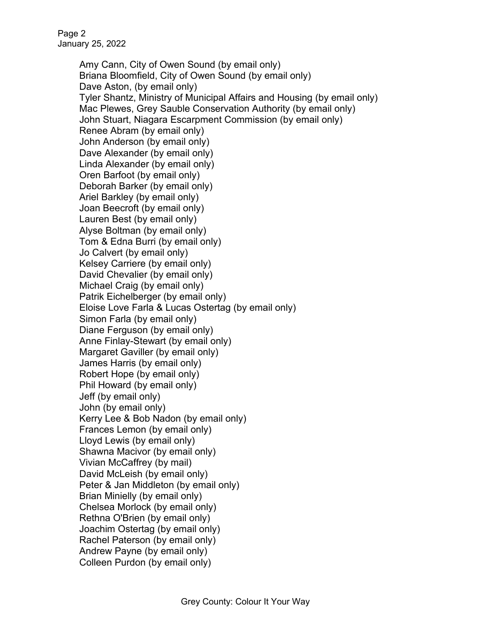Amy Cann, City of Owen Sound (by email only) Briana Bloomfield, City of Owen Sound (by email only) Dave Aston, (by email only) Tyler Shantz, Ministry of Municipal Affairs and Housing (by email only) Mac Plewes, Grey Sauble Conservation Authority (by email only) John Stuart, Niagara Escarpment Commission (by email only) Renee Abram (by email only) John Anderson (by email only) Dave Alexander (by email only) Linda Alexander (by email only) Oren Barfoot (by email only) Deborah Barker (by email only) Ariel Barkley (by email only) Joan Beecroft (by email only) Lauren Best (by email only) Alyse Boltman (by email only) Tom & Edna Burri (by email only) Jo Calvert (by email only) Kelsey Carriere (by email only) David Chevalier (by email only) Michael Craig (by email only) Patrik Eichelberger (by email only) Eloise Love Farla & Lucas Ostertag (by email only) Simon Farla (by email only) Diane Ferguson (by email only) Anne Finlay-Stewart (by email only) Margaret Gaviller (by email only) James Harris (by email only) Robert Hope (by email only) Phil Howard (by email only) Jeff (by email only) John (by email only) Kerry Lee & Bob Nadon (by email only) Frances Lemon (by email only) Lloyd Lewis (by email only) Shawna Macivor (by email only) Vivian McCaffrey (by mail) David McLeish (by email only) Peter & Jan Middleton (by email only) Brian Minielly (by email only) Chelsea Morlock (by email only) Rethna O'Brien (by email only) Joachim Ostertag (by email only) Rachel Paterson (by email only) Andrew Payne (by email only) Colleen Purdon (by email only)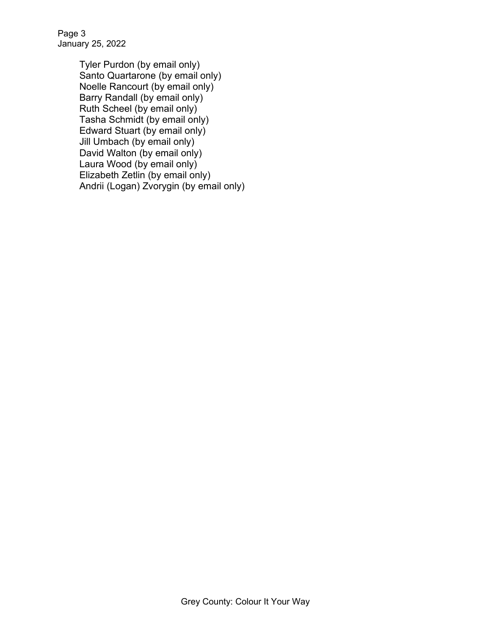Page 3 January 25, 2022

> Tyler Purdon (by email only) Santo Quartarone (by email only) Noelle Rancourt (by email only) Barry Randall (by email only) Ruth Scheel (by email only) Tasha Schmidt (by email only) Edward Stuart (by email only) Jill Umbach (by email only) David Walton (by email only) Laura Wood (by email only) Elizabeth Zetlin (by email only) Andrii (Logan) Zvorygin (by email only)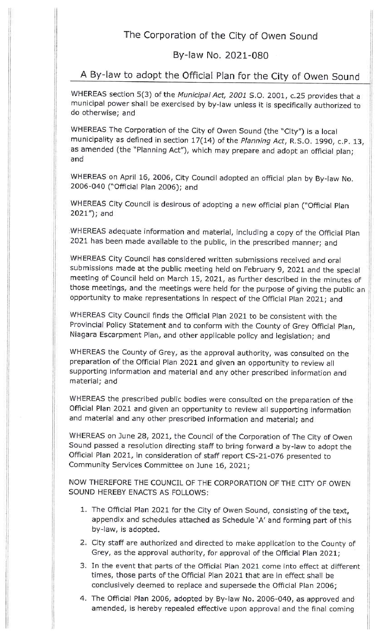### The Corporation of the City of Owen Sound

### By-law No. 2021-080

# A By-law to adopt the Official Plan for the City of Owen Sound

WHEREAS section 5(3) of the Municipal Act, 2001 S.O. 2001, c.25 provides that a municipal power shall be exercised by by-law unless it is specifically authorized to do otherwise; and

WHEREAS The Corporation of the City of Owen Sound (the "City") is a local municipality as defined in section 17(14) of the Planning Act, R.S.O. 1990, c.P. 13, as amended (the "Planning Act"), which may prepare and adopt an official plan; and

WHEREAS on April 16, 2006, City Council adopted an official plan by By-law No. 2006-040 ("Official Plan 2006); and

WHEREAS City Council is desirous of adopting a new official plan ("Official Plan  $2021'$ ); and

WHEREAS adequate information and material, including a copy of the Official Plan 2021 has been made available to the public, in the prescribed manner; and

WHEREAS City Council has considered written submissions received and oral submissions made at the public meeting held on February 9, 2021 and the special meeting of Council held on March 15, 2021, as further described in the minutes of those meetings, and the meetings were held for the purpose of giving the public an opportunity to make representations in respect of the Official Plan 2021; and

WHEREAS City Council finds the Official Plan 2021 to be consistent with the Provincial Policy Statement and to conform with the County of Grey Official Plan, Niagara Escarpment Plan, and other applicable policy and legislation; and

WHEREAS the County of Grey, as the approval authority, was consulted on the preparation of the Official Plan 2021 and given an opportunity to review all supporting information and material and any other prescribed information and material; and

WHEREAS the prescribed public bodies were consulted on the preparation of the Official Plan 2021 and given an opportunity to review all supporting information and material and any other prescribed information and material; and

WHEREAS on June 28, 2021, the Council of the Corporation of The City of Owen Sound passed a resolution directing staff to bring forward a by-law to adopt the Official Plan 2021, in consideration of staff report CS-21-076 presented to Community Services Committee on June 16, 2021;

NOW THEREFORE THE COUNCIL OF THE CORPORATION OF THE CITY OF OWEN SOUND HEREBY ENACTS AS FOLLOWS:

- 1. The Official Plan 2021 for the City of Owen Sound, consisting of the text, appendix and schedules attached as Schedule 'A' and forming part of this by-law, is adopted.
- 2. City staff are authorized and directed to make application to the County of Grey, as the approval authority, for approval of the Official Plan 2021;
- 3. In the event that parts of the Official Plan 2021 come into effect at different times, those parts of the Official Plan 2021 that are in effect shall be conclusively deemed to replace and supersede the Official Plan 2006;
- 4. The Official Plan 2006, adopted by By-law No. 2006-040, as approved and amended, is hereby repealed effective upon approval and the final coming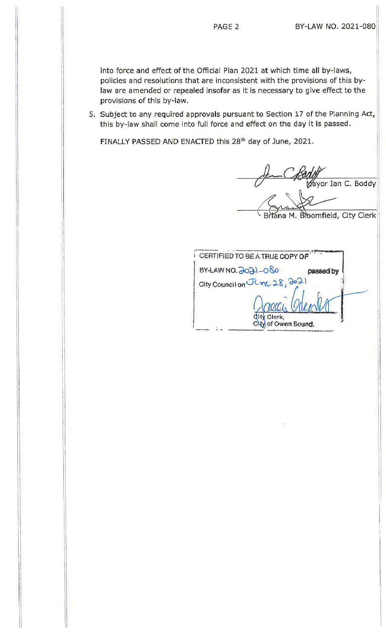into force and effect of the Official Plan 2021 at which time all by-laws, policies and resolutions that are inconsistent with the provisions of this bylaw are amended or repealed insofar as it is necessary to give effect to the provisions of this by-law.

5. Subject to any required approvals pursuant to Section 17 of the Planning Act, this by-law shall come into full force and effect on the day it is passed.

FINALLY PASSED AND ENACTED this 28th day of June, 2021.

Mayor Ian C. Boddy

a M. Broomfield, City Clerk

CERTIFIED TO BE A TRUE COPY OF BY-LAW NO.  $2021 - 080$ passed by City Council on June 28, 2021 Clerk, City of Owen Sound.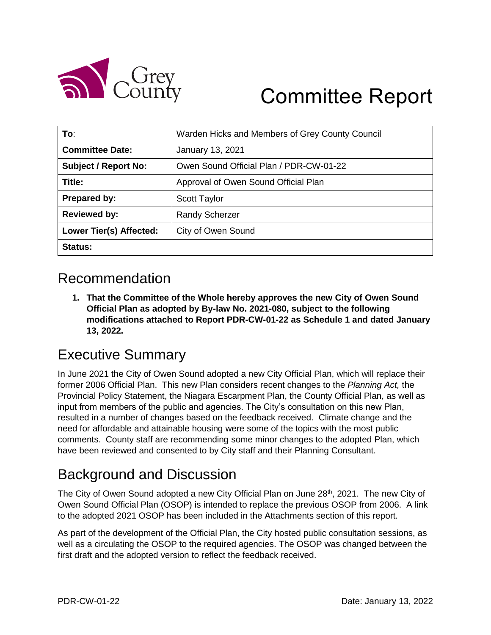

# Committee Report

| To:                            | Warden Hicks and Members of Grey County Council |
|--------------------------------|-------------------------------------------------|
| <b>Committee Date:</b>         | January 13, 2021                                |
| <b>Subject / Report No:</b>    | Owen Sound Official Plan / PDR-CW-01-22         |
| Title:                         | Approval of Owen Sound Official Plan            |
| <b>Prepared by:</b>            | <b>Scott Taylor</b>                             |
| <b>Reviewed by:</b>            | <b>Randy Scherzer</b>                           |
| <b>Lower Tier(s) Affected:</b> | City of Owen Sound                              |
| Status:                        |                                                 |

# Recommendation

**1. That the Committee of the Whole hereby approves the new City of Owen Sound Official Plan as adopted by By-law No. 2021-080, subject to the following modifications attached to Report PDR-CW-01-22 as Schedule 1 and dated January 13, 2022.**

# Executive Summary

In June 2021 the City of Owen Sound adopted a new City Official Plan, which will replace their former 2006 Official Plan. This new Plan considers recent changes to the *Planning Act,* the Provincial Policy Statement, the Niagara Escarpment Plan, the County Official Plan, as well as input from members of the public and agencies. The City's consultation on this new Plan, resulted in a number of changes based on the feedback received. Climate change and the need for affordable and attainable housing were some of the topics with the most public comments. County staff are recommending some minor changes to the adopted Plan, which have been reviewed and consented to by City staff and their Planning Consultant.

# Background and Discussion

The City of Owen Sound adopted a new City Official Plan on June 28<sup>th</sup>, 2021. The new City of Owen Sound Official Plan (OSOP) is intended to replace the previous OSOP from 2006. A link to the adopted 2021 OSOP has been included in the Attachments section of this report.

As part of the development of the Official Plan, the City hosted public consultation sessions, as well as a circulating the OSOP to the required agencies. The OSOP was changed between the first draft and the adopted version to reflect the feedback received.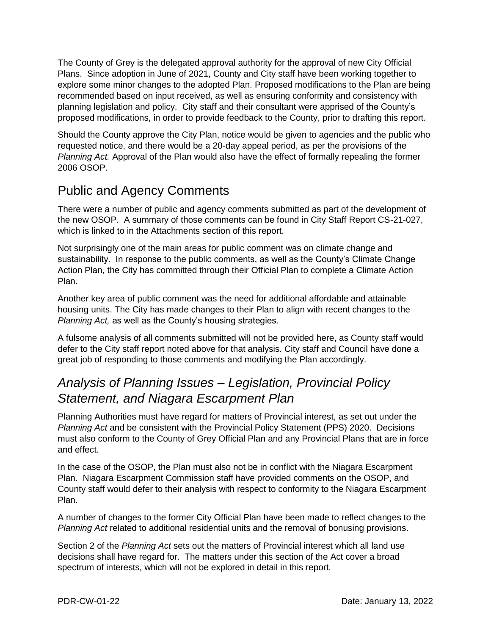The County of Grey is the delegated approval authority for the approval of new City Official Plans. Since adoption in June of 2021, County and City staff have been working together to explore some minor changes to the adopted Plan. Proposed modifications to the Plan are being recommended based on input received, as well as ensuring conformity and consistency with planning legislation and policy. City staff and their consultant were apprised of the County's proposed modifications, in order to provide feedback to the County, prior to drafting this report.

Should the County approve the City Plan, notice would be given to agencies and the public who requested notice, and there would be a 20-day appeal period, as per the provisions of the *Planning Act.* Approval of the Plan would also have the effect of formally repealing the former 2006 OSOP.

# Public and Agency Comments

There were a number of public and agency comments submitted as part of the development of the new OSOP. A summary of those comments can be found in City Staff Report CS-21-027, which is linked to in the Attachments section of this report.

Not surprisingly one of the main areas for public comment was on climate change and sustainability. In response to the public comments, as well as the County's Climate Change Action Plan, the City has committed through their Official Plan to complete a Climate Action Plan.

Another key area of public comment was the need for additional affordable and attainable housing units. The City has made changes to their Plan to align with recent changes to the *Planning Act,* as well as the County's housing strategies.

A fulsome analysis of all comments submitted will not be provided here, as County staff would defer to the City staff report noted above for that analysis. City staff and Council have done a great job of responding to those comments and modifying the Plan accordingly.

## *Analysis of Planning Issues – Legislation, Provincial Policy Statement, and Niagara Escarpment Plan*

Planning Authorities must have regard for matters of Provincial interest, as set out under the *Planning Act* and be consistent with the Provincial Policy Statement (PPS) 2020. Decisions must also conform to the County of Grey Official Plan and any Provincial Plans that are in force and effect.

In the case of the OSOP, the Plan must also not be in conflict with the Niagara Escarpment Plan. Niagara Escarpment Commission staff have provided comments on the OSOP, and County staff would defer to their analysis with respect to conformity to the Niagara Escarpment Plan.

A number of changes to the former City Official Plan have been made to reflect changes to the *Planning Act* related to additional residential units and the removal of bonusing provisions.

Section 2 of the *Planning Act* sets out the matters of Provincial interest which all land use decisions shall have regard for. The matters under this section of the Act cover a broad spectrum of interests, which will not be explored in detail in this report.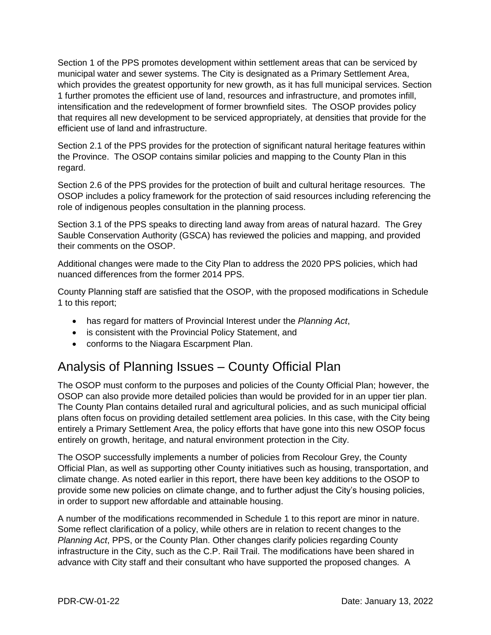Section 1 of the PPS promotes development within settlement areas that can be serviced by municipal water and sewer systems. The City is designated as a Primary Settlement Area, which provides the greatest opportunity for new growth, as it has full municipal services. Section 1 further promotes the efficient use of land, resources and infrastructure, and promotes infill, intensification and the redevelopment of former brownfield sites. The OSOP provides policy that requires all new development to be serviced appropriately, at densities that provide for the efficient use of land and infrastructure.

Section 2.1 of the PPS provides for the protection of significant natural heritage features within the Province. The OSOP contains similar policies and mapping to the County Plan in this regard.

Section 2.6 of the PPS provides for the protection of built and cultural heritage resources. The OSOP includes a policy framework for the protection of said resources including referencing the role of indigenous peoples consultation in the planning process.

Section 3.1 of the PPS speaks to directing land away from areas of natural hazard. The Grey Sauble Conservation Authority (GSCA) has reviewed the policies and mapping, and provided their comments on the OSOP.

Additional changes were made to the City Plan to address the 2020 PPS policies, which had nuanced differences from the former 2014 PPS.

County Planning staff are satisfied that the OSOP, with the proposed modifications in Schedule 1 to this report;

- has regard for matters of Provincial Interest under the *Planning Act*,
- is consistent with the Provincial Policy Statement, and
- conforms to the Niagara Escarpment Plan.

## Analysis of Planning Issues – County Official Plan

The OSOP must conform to the purposes and policies of the County Official Plan; however, the OSOP can also provide more detailed policies than would be provided for in an upper tier plan. The County Plan contains detailed rural and agricultural policies, and as such municipal official plans often focus on providing detailed settlement area policies. In this case, with the City being entirely a Primary Settlement Area, the policy efforts that have gone into this new OSOP focus entirely on growth, heritage, and natural environment protection in the City.

The OSOP successfully implements a number of policies from Recolour Grey, the County Official Plan, as well as supporting other County initiatives such as housing, transportation, and climate change. As noted earlier in this report, there have been key additions to the OSOP to provide some new policies on climate change, and to further adjust the City's housing policies, in order to support new affordable and attainable housing.

A number of the modifications recommended in Schedule 1 to this report are minor in nature. Some reflect clarification of a policy, while others are in relation to recent changes to the *Planning Act*, PPS, or the County Plan. Other changes clarify policies regarding County infrastructure in the City, such as the C.P. Rail Trail. The modifications have been shared in advance with City staff and their consultant who have supported the proposed changes. A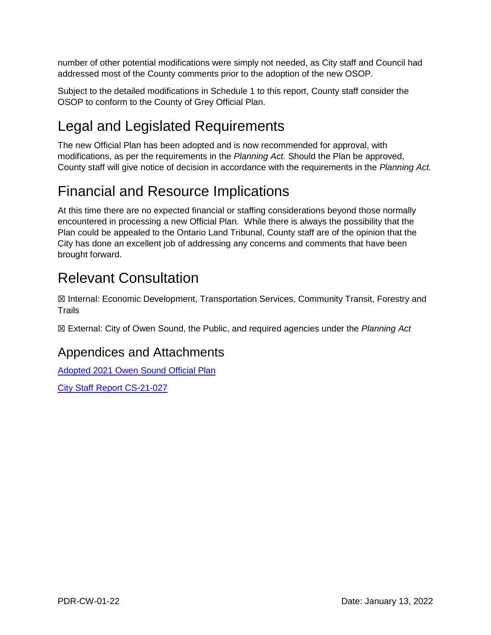number of other potential modifications were simply not needed, as City staff and Council had addressed most of the County comments prior to the adoption of the new OSOP.

Subject to the detailed modifications in Schedule 1 to this report, County staff consider the OSOP to conform to the County of Grey Official Plan.

# Legal and Legislated Requirements

The new Official Plan has been adopted and is now recommended for approval, with modifications, as per the requirements in the *Planning Act.* Should the Plan be approved, County staff will give notice of decision in accordance with the requirements in the *Planning Act.*

# Financial and Resource Implications

At this time there are no expected financial or staffing considerations beyond those normally encountered in processing a new Official Plan. While there is always the possibility that the Plan could be appealed to the Ontario Land Tribunal, County staff are of the opinion that the City has done an excellent job of addressing any concerns and comments that have been brought forward.

# Relevant Consultation

☒ Internal: Economic Development, Transportation Services, Community Transit, Forestry and **Trails** 

☒ External: City of Owen Sound, the Public, and required agencies under the *Planning Act*

### Appendices and Attachments

[Adopted 2021 Owen Sound Official](https://docs.grey.ca/share/public?nodeRef=workspace://SpacesStore/26a25b84-b7aa-4c30-a6fe-0e31aced55dc) Plan

[City Staff Report CS-21-027](https://docs.grey.ca/share/public?nodeRef=workspace://SpacesStore/070b9d45-bd03-495b-8a52-8509b847872e)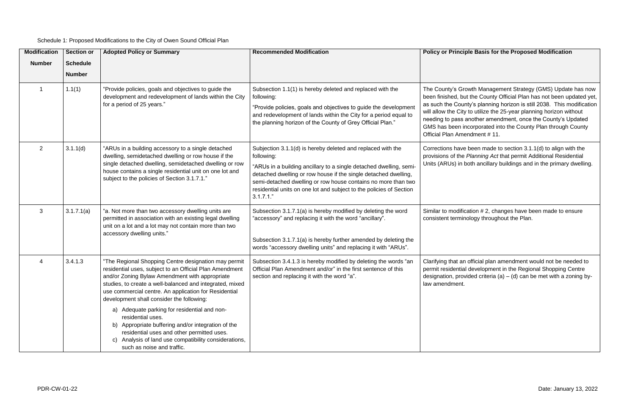Schedule 1: Proposed Modifications to the City of Owen Sound Official Plan

#### **Adopted Policy or Summary Recommended Modification Policy or Principle Basis for the Proposed Modification**

owth Management Strategy (GMS) Update has now t the County Official Plan has not been updated yet, nty's planning horizon is still 2038. This modification to utilize the 25-year planning horizon without another amendment, once the County's Updated ncorporated into the County Plan through County  $\mathsf{endment}$  # 11.

been made to section  $3.1.1(d)$  to align with the Planning Act that permit Additional Residential ooth ancillary buildings and in the primary dwelling.

cation # 2, changes have been made to ensure nology throughout the Plan.

official plan amendment would not be needed to development in the Regional Shopping Centre ided criteria (a) – (d) can be met with a zoning by-

| <b>Modification</b><br><b>Number</b> | <b>Section or</b><br><b>Schedule</b><br><b>Number</b> | <b>Adopted Policy or Summary</b>                                                                                                                                                                                                                                                                                                                                                                         | <b>Recommended Modification</b>                                                                                                                                                                                                                                                                                                                                            | <b>Policy or Princip</b>                                                                                                                              |
|--------------------------------------|-------------------------------------------------------|----------------------------------------------------------------------------------------------------------------------------------------------------------------------------------------------------------------------------------------------------------------------------------------------------------------------------------------------------------------------------------------------------------|----------------------------------------------------------------------------------------------------------------------------------------------------------------------------------------------------------------------------------------------------------------------------------------------------------------------------------------------------------------------------|-------------------------------------------------------------------------------------------------------------------------------------------------------|
|                                      | 1.1(1)                                                | "Provide policies, goals and objectives to guide the<br>development and redevelopment of lands within the City<br>for a period of 25 years."                                                                                                                                                                                                                                                             | Subsection 1.1(1) is hereby deleted and replaced with the<br>following:<br>"Provide policies, goals and objectives to guide the development<br>and redevelopment of lands within the City for a period equal to<br>the planning horizon of the County of Grey Official Plan."                                                                                              | The County's Gro<br>been finished, but<br>as such the Coun<br>will allow the City<br>needing to pass a<br>GMS has been in<br><b>Official Plan Ame</b> |
| $\overline{2}$                       | 3.1.1(d)                                              | "ARUs in a building accessory to a single detached<br>dwelling, semidetached dwelling or row house if the<br>single detached dwelling, semidetached dwelling or row<br>house contains a single residential unit on one lot and<br>subject to the policies of Section 3.1.7.1."                                                                                                                           | Subjection 3.1.1(d) is hereby deleted and replaced with the<br>following:<br>"ARUs in a building ancillary to a single detached dwelling, semi-<br>detached dwelling or row house if the single detached dwelling,<br>semi-detached dwelling or row house contains no more than two<br>residential units on one lot and subject to the policies of Section<br>$3.1.7.1.$ " | <b>Corrections have</b><br>provisions of the<br>Units (ARUs) in b                                                                                     |
| 3                                    | 3.1.7.1(a)                                            | "a. Not more than two accessory dwelling units are<br>permitted in association with an existing legal dwelling<br>unit on a lot and a lot may not contain more than two<br>accessory dwelling units."                                                                                                                                                                                                    | Subsection 3.1.7.1(a) is hereby modified by deleting the word<br>"accessory" and replacing it with the word "ancillary".<br>Subsection 3.1.7.1(a) is hereby further amended by deleting the<br>words "accessory dwelling units" and replacing it with "ARUs".                                                                                                              | Similar to modific<br>consistent termin                                                                                                               |
|                                      | 3.4.1.3                                               | "The Regional Shopping Centre designation may permit<br>residential uses, subject to an Official Plan Amendment<br>and/or Zoning Bylaw Amendment with appropriate<br>studies, to create a well-balanced and integrated, mixed<br>use commercial centre. An application for Residential<br>development shall consider the following:<br>a) Adequate parking for residential and non-<br>residential uses. | Subsection 3.4.1.3 is hereby modified by deleting the words "an<br>Official Plan Amendment and/or" in the first sentence of this<br>section and replacing it with the word "a".                                                                                                                                                                                            | Clarifying that an<br>permit residential<br>designation, provi<br>law amendment.                                                                      |
|                                      |                                                       | b) Appropriate buffering and/or integration of the<br>residential uses and other permitted uses.<br>Analysis of land use compatibility considerations,<br>C)<br>such as noise and traffic.                                                                                                                                                                                                               |                                                                                                                                                                                                                                                                                                                                                                            |                                                                                                                                                       |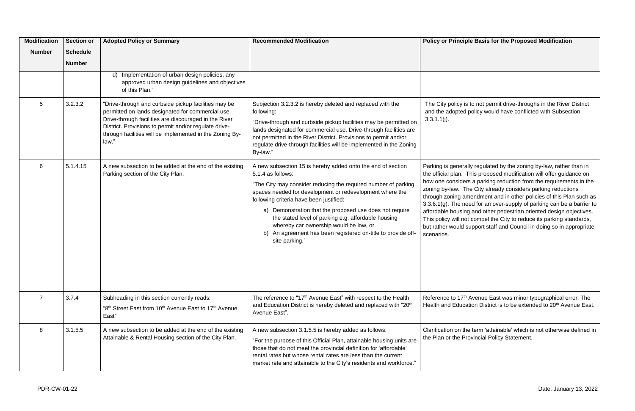s to not permit drive-throughs in the River District policy would have conflicted with Subsection

ally regulated by the zoning by-law, rather than in This proposed modification will offer guidance on rs a parking reduction from the requirements in the he City already considers parking reductions mendment and in other policies of this Plan such as eed for an over-supply of parking can be a barrier to ng and other pedestrian oriented design objectives. ot compel the City to reduce its parking standards, support staff and Council in doing so in appropriate

Avenue East was minor typographical error. The Health and Education District is to be extended to 20<sup>th</sup> Avenue East.

> ne term 'attainable' which is not otherwise defined in rovincial Policy Statement.

| <b>Modification</b><br><b>Number</b> | <b>Section or</b><br><b>Schedule</b><br><b>Number</b> | <b>Adopted Policy or Summary</b>                                                                                                                                                                                                                                                                 | <b>Recommended Modification</b>                                                                                                                                                                                                                                                                                                                                                                                                                                                                            | <b>Policy or Princip</b>                                                                                                                                                                                           |
|--------------------------------------|-------------------------------------------------------|--------------------------------------------------------------------------------------------------------------------------------------------------------------------------------------------------------------------------------------------------------------------------------------------------|------------------------------------------------------------------------------------------------------------------------------------------------------------------------------------------------------------------------------------------------------------------------------------------------------------------------------------------------------------------------------------------------------------------------------------------------------------------------------------------------------------|--------------------------------------------------------------------------------------------------------------------------------------------------------------------------------------------------------------------|
|                                      |                                                       | Implementation of urban design policies, any<br>d)<br>approved urban design guidelines and objectives<br>of this Plan."                                                                                                                                                                          |                                                                                                                                                                                                                                                                                                                                                                                                                                                                                                            |                                                                                                                                                                                                                    |
| 5                                    | 3.2.3.2                                               | "Drive-through and curbside pickup facilities may be<br>permitted on lands designated for commercial use.<br>Drive-through facilities are discouraged in the River<br>District. Provisions to permit and/or regulate drive-<br>through facilities will be implemented in the Zoning By-<br>law." | Subjection 3.2.3.2 is hereby deleted and replaced with the<br>following:<br>"Drive-through and curbside pickup facilities may be permitted on<br>lands designated for commercial use. Drive-through facilities are<br>not permitted in the River District. Provisions to permit and/or<br>regulate drive-through facilities will be implemented in the Zoning<br>By-law."                                                                                                                                  | The City policy is<br>and the adopted<br>$3.3.1.1(j)$ .                                                                                                                                                            |
| 6                                    | 5.1.4.15                                              | A new subsection to be added at the end of the existing<br>Parking section of the City Plan.                                                                                                                                                                                                     | A new subsection 15 is hereby added onto the end of section<br>5.1.4 as follows:<br>"The City may consider reducing the required number of parking<br>spaces needed for development or redevelopment where the<br>following criteria have been justified:<br>a) Demonstration that the proposed use does not require<br>the stated level of parking e.g. affordable housing<br>whereby car ownership would be low, or<br>An agreement has been registered on-title to provide off-<br>b)<br>site parking." | Parking is genera<br>the official plan. 7<br>how one consider<br>zoning by-law. Th<br>through zoning ar<br>3.3.6.1 $(g)$ . The ne<br>affordable housing<br>This policy will no<br>but rather would s<br>scenarios. |
| $\overline{7}$                       | 3.7.4                                                 | Subheading in this section currently reads:<br>"8 <sup>th</sup> Street East from 10 <sup>th</sup> Avenue East to 17 <sup>th</sup> Avenue<br>East"                                                                                                                                                | The reference to "17 <sup>th</sup> Avenue East" with respect to the Health<br>and Education District is hereby deleted and replaced with "20th<br>Avenue East".                                                                                                                                                                                                                                                                                                                                            | Reference to 17th<br><b>Health and Educa</b>                                                                                                                                                                       |
| 8                                    | 3.1.5.5                                               | A new subsection to be added at the end of the existing<br>Attainable & Rental Housing section of the City Plan.                                                                                                                                                                                 | A new subsection 3.1.5.5 is hereby added as follows:<br>"For the purpose of this Official Plan, attainable housing units are<br>those that do not meet the provincial definition for 'affordable'<br>rental rates but whose rental rates are less than the current<br>market rate and attainable to the City's residents and workforce."                                                                                                                                                                   | Clarification on the<br>the Plan or the Pr                                                                                                                                                                         |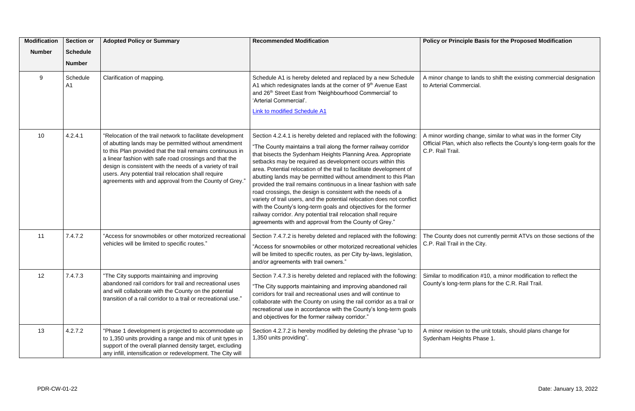| <b>Modification</b><br><b>Number</b> | <b>Section or</b><br><b>Schedule</b><br><b>Number</b> | <b>Adopted Policy or Summary</b>                                                                                                                                                                                                                                                                                                                                                                                         | <b>Recommended Modification</b>                                                                                                                                                                                                                                                                                                                                                                                                                                                                                                                                                                                                                                                                                                                                                                                               | <b>Policy or Princi</b>                                   |
|--------------------------------------|-------------------------------------------------------|--------------------------------------------------------------------------------------------------------------------------------------------------------------------------------------------------------------------------------------------------------------------------------------------------------------------------------------------------------------------------------------------------------------------------|-------------------------------------------------------------------------------------------------------------------------------------------------------------------------------------------------------------------------------------------------------------------------------------------------------------------------------------------------------------------------------------------------------------------------------------------------------------------------------------------------------------------------------------------------------------------------------------------------------------------------------------------------------------------------------------------------------------------------------------------------------------------------------------------------------------------------------|-----------------------------------------------------------|
| 9                                    | Schedule<br>A <sub>1</sub>                            | Clarification of mapping.                                                                                                                                                                                                                                                                                                                                                                                                | Schedule A1 is hereby deleted and replaced by a new Schedule<br>A1 which redesignates lands at the corner of 9th Avenue East<br>and 26th Street East from 'Neighbourhood Commercial' to<br>'Arterial Commercial'.<br>Link to modified Schedule A1                                                                                                                                                                                                                                                                                                                                                                                                                                                                                                                                                                             | A minor change t<br>to Arterial Comm                      |
| 10                                   | 4.2.4.1                                               | "Relocation of the trail network to facilitate development<br>of abutting lands may be permitted without amendment<br>to this Plan provided that the trail remains continuous in<br>a linear fashion with safe road crossings and that the<br>design is consistent with the needs of a variety of trail<br>users. Any potential trail relocation shall require<br>agreements with and approval from the County of Grey." | Section 4.2.4.1 is hereby deleted and replaced with the following:<br>"The County maintains a trail along the former railway corridor<br>that bisects the Sydenham Heights Planning Area. Appropriate<br>setbacks may be required as development occurs within this<br>area. Potential relocation of the trail to facilitate development of<br>abutting lands may be permitted without amendment to this Plan<br>provided the trail remains continuous in a linear fashion with safe<br>road crossings, the design is consistent with the needs of a<br>variety of trail users, and the potential relocation does not conflict<br>with the County's long-term goals and objectives for the former<br>railway corridor. Any potential trail relocation shall require<br>agreements with and approval from the County of Grey." | A minor wording<br>Official Plan, whi<br>C.P. Rail Trail. |
| 11                                   | 7.4.7.2                                               | "Access for snowmobiles or other motorized recreational<br>vehicles will be limited to specific routes."                                                                                                                                                                                                                                                                                                                 | Section 7.4.7.2 is hereby deleted and replaced with the following:<br>"Access for snowmobiles or other motorized recreational vehicles<br>will be limited to specific routes, as per City by-laws, legislation,<br>and/or agreements with trail owners."                                                                                                                                                                                                                                                                                                                                                                                                                                                                                                                                                                      | The County does<br>C.P. Rail Trail in                     |
| 12                                   | 7.4.7.3                                               | "The City supports maintaining and improving<br>abandoned rail corridors for trail and recreational uses<br>and will collaborate with the County on the potential<br>transition of a rail corridor to a trail or recreational use."                                                                                                                                                                                      | Section 7.4.7.3 is hereby deleted and replaced with the following:<br>"The City supports maintaining and improving abandoned rail<br>corridors for trail and recreational uses and will continue to<br>collaborate with the County on using the rail corridor as a trail or<br>recreational use in accordance with the County's long-term goals<br>and objectives for the former railway corridor."                                                                                                                                                                                                                                                                                                                                                                                                                           | Similar to modific<br>County's long-ter                   |
| 13                                   | 4.2.7.2                                               | "Phase 1 development is projected to accommodate up<br>to 1,350 units providing a range and mix of unit types in<br>support of the overall planned density target, excluding<br>any infill, intensification or redevelopment. The City will                                                                                                                                                                              | Section 4.2.7.2 is hereby modified by deleting the phrase "up to<br>1,350 units providing".                                                                                                                                                                                                                                                                                                                                                                                                                                                                                                                                                                                                                                                                                                                                   | A minor revision<br>Sydenham Heigh                        |

#### **Philip Basis for the Proposed Modification**

to lands to shift the existing commercial designation ercial.

change, similar to what was in the former City ich also reflects the County's long-term goals for the

s not currently permit ATVs on those sections of the the City.

cation #10, a minor modification to reflect the rm plans for the C.R. Rail Trail.

to the unit totals, should plans change for hts Phase 1.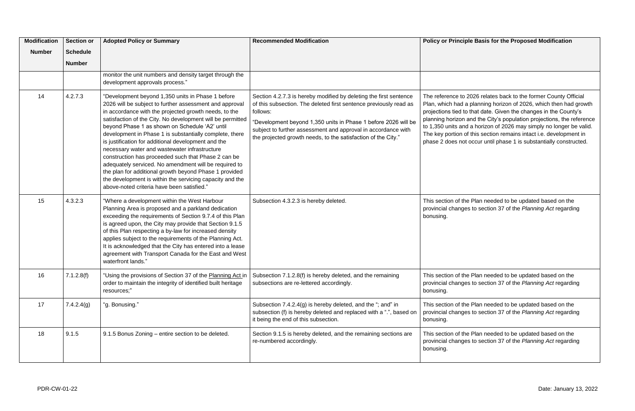2026 relates back to the former County Official a planning horizon of 2026, which then had growth o that date. Given the changes in the County's and the City's population projections, the reference d a horizon of 2026 may simply no longer be valid. of this section remains intact i.e. development in t occur until phase 1 is substantially constructed.

he Plan needed to be updated based on the es to section 37 of the Planning Act regarding

he Plan needed to be updated based on the es to section 37 of the *Planning Act* regarding

he Plan needed to be updated based on the es to section 37 of the *Planning Act* regarding

he Plan needed to be updated based on the es to section 37 of the *Planning Act* regarding

| <b>Modification</b><br><b>Number</b> | <b>Section or</b><br><b>Schedule</b> | <b>Adopted Policy or Summary</b>                                                                                                                                                                                                                                                                                                                                                                                                                                                                                                                                                                                                                                                                                                             | <b>Recommended Modification</b>                                                                                                                                                                                                                                                                                                                        | <b>Policy or Princip</b>                                                                                                                        |
|--------------------------------------|--------------------------------------|----------------------------------------------------------------------------------------------------------------------------------------------------------------------------------------------------------------------------------------------------------------------------------------------------------------------------------------------------------------------------------------------------------------------------------------------------------------------------------------------------------------------------------------------------------------------------------------------------------------------------------------------------------------------------------------------------------------------------------------------|--------------------------------------------------------------------------------------------------------------------------------------------------------------------------------------------------------------------------------------------------------------------------------------------------------------------------------------------------------|-------------------------------------------------------------------------------------------------------------------------------------------------|
|                                      | <b>Number</b>                        |                                                                                                                                                                                                                                                                                                                                                                                                                                                                                                                                                                                                                                                                                                                                              |                                                                                                                                                                                                                                                                                                                                                        |                                                                                                                                                 |
|                                      |                                      | monitor the unit numbers and density target through the<br>development approvals process."                                                                                                                                                                                                                                                                                                                                                                                                                                                                                                                                                                                                                                                   |                                                                                                                                                                                                                                                                                                                                                        |                                                                                                                                                 |
| 14                                   | 4.2.7.3                              | "Development beyond 1,350 units in Phase 1 before<br>2026 will be subject to further assessment and approval<br>in accordance with the projected growth needs, to the<br>satisfaction of the City. No development will be permitted<br>beyond Phase 1 as shown on Schedule 'A2' until<br>development in Phase 1 is substantially complete, there<br>is justification for additional development and the<br>necessary water and wastewater infrastructure<br>construction has proceeded such that Phase 2 can be<br>adequately serviced. No amendment will be required to<br>the plan for additional growth beyond Phase 1 provided<br>the development is within the servicing capacity and the<br>above-noted criteria have been satisfied." | Section 4.2.7.3 is hereby modified by deleting the first sentence<br>of this subsection. The deleted first sentence previously read as<br>follows:<br>"Development beyond 1,350 units in Phase 1 before 2026 will be<br>subject to further assessment and approval in accordance with<br>the projected growth needs, to the satisfaction of the City." | The reference to<br>Plan, which had a<br>projections tied to<br>planning horizon<br>to 1,350 units and<br>The key portion o<br>phase 2 does not |
| 15                                   | 4.3.2.3                              | "Where a development within the West Harbour<br>Planning Area is proposed and a parkland dedication<br>exceeding the requirements of Section 9.7.4 of this Plan<br>is agreed upon, the City may provide that Section 9.1.5<br>of this Plan respecting a by-law for increased density<br>applies subject to the requirements of the Planning Act.<br>It is acknowledged that the City has entered into a lease<br>agreement with Transport Canada for the East and West<br>waterfront lands."                                                                                                                                                                                                                                                 | Subsection 4.3.2.3 is hereby deleted.                                                                                                                                                                                                                                                                                                                  | This section of th<br>provincial change<br>bonusing.                                                                                            |
| 16                                   | 7.1.2.8(f)                           | "Using the provisions of Section 37 of the Planning Act in<br>order to maintain the integrity of identified built heritage<br>resources;"                                                                                                                                                                                                                                                                                                                                                                                                                                                                                                                                                                                                    | Subsection 7.1.2.8(f) is hereby deleted, and the remaining<br>subsections are re-lettered accordingly.                                                                                                                                                                                                                                                 | This section of th<br>provincial change<br>bonusing.                                                                                            |
| 17                                   | 7.4.2.4(g)                           | "g. Bonusing."                                                                                                                                                                                                                                                                                                                                                                                                                                                                                                                                                                                                                                                                                                                               | Subsection 7.4.2.4(g) is hereby deleted, and the "; and" in<br>subsection (f) is hereby deleted and replaced with a ".", based on<br>it being the end of this subsection.                                                                                                                                                                              | This section of th<br>provincial change<br>bonusing.                                                                                            |
| 18                                   | 9.1.5                                | 9.1.5 Bonus Zoning - entire section to be deleted.                                                                                                                                                                                                                                                                                                                                                                                                                                                                                                                                                                                                                                                                                           | Section 9.1.5 is hereby deleted, and the remaining sections are<br>re-numbered accordingly.                                                                                                                                                                                                                                                            | This section of th<br>provincial change<br>bonusing.                                                                                            |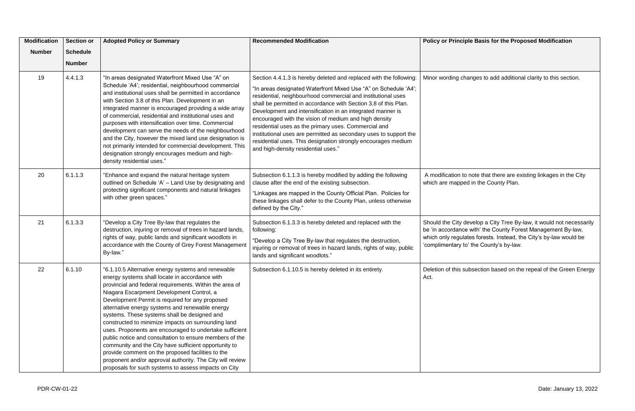| <b>Modification</b><br><b>Number</b> | <b>Section or</b><br><b>Schedule</b><br><b>Number</b> | <b>Adopted Policy or Summary</b>                                                                                                                                                                                                                                                                                                                                                                                                                                                                                                                                                                                                                                                                                                                                                   | <b>Recommended Modification</b>                                                                                                                                                                                                                                                                                                                                                                                                                                                                                                                                                                                                      | <b>Policy or Princip</b>                                                         |
|--------------------------------------|-------------------------------------------------------|------------------------------------------------------------------------------------------------------------------------------------------------------------------------------------------------------------------------------------------------------------------------------------------------------------------------------------------------------------------------------------------------------------------------------------------------------------------------------------------------------------------------------------------------------------------------------------------------------------------------------------------------------------------------------------------------------------------------------------------------------------------------------------|--------------------------------------------------------------------------------------------------------------------------------------------------------------------------------------------------------------------------------------------------------------------------------------------------------------------------------------------------------------------------------------------------------------------------------------------------------------------------------------------------------------------------------------------------------------------------------------------------------------------------------------|----------------------------------------------------------------------------------|
| 19                                   | 4.4.1.3                                               | "In areas designated Waterfront Mixed Use "A" on<br>Schedule 'A4'; residential, neighbourhood commercial<br>and institutional uses shall be permitted in accordance<br>with Section 3.8 of this Plan. Development in an<br>integrated manner is encouraged providing a wide array<br>of commercial, residential and institutional uses and<br>purposes with intensification over time. Commercial<br>development can serve the needs of the neighbourhood<br>and the City, however the mixed land use designation is<br>not primarily intended for commercial development. This<br>designation strongly encourages medium and high-<br>density residential uses."                                                                                                                  | Section 4.4.1.3 is hereby deleted and replaced with the following:<br>"In areas designated Waterfront Mixed Use "A" on Schedule 'A4';<br>residential, neighbourhood commercial and institutional uses<br>shall be permitted in accordance with Section 3.8 of this Plan.<br>Development and intensification in an integrated manner is<br>encouraged with the vision of medium and high density<br>residential uses as the primary uses. Commercial and<br>institutional uses are permitted as secondary uses to support the<br>residential uses. This designation strongly encourages medium<br>and high-density residential uses." | Minor wording ch                                                                 |
| 20                                   | 6.1.1.3                                               | "Enhance and expand the natural heritage system<br>outlined on Schedule 'A' - Land Use by designating and<br>protecting significant components and natural linkages<br>with other green spaces."                                                                                                                                                                                                                                                                                                                                                                                                                                                                                                                                                                                   | Subsection 6.1.1.3 is hereby modified by adding the following<br>clause after the end of the existing subsection.<br>"Linkages are mapped in the County Official Plan. Policies for<br>these linkages shall defer to the County Plan, unless otherwise<br>defined by the City."                                                                                                                                                                                                                                                                                                                                                      | A modification to<br>which are mappe                                             |
| 21                                   | 6.1.3.3                                               | "Develop a City Tree By-law that regulates the<br>destruction, injuring or removal of trees in hazard lands,<br>rights of way, public lands and significant woodlots in<br>accordance with the County of Grey Forest Management<br>By-law."                                                                                                                                                                                                                                                                                                                                                                                                                                                                                                                                        | Subsection 6.1.3.3 is hereby deleted and replaced with the<br>following:<br>"Develop a City Tree By-law that regulates the destruction,<br>injuring or removal of trees in hazard lands, rights of way, public<br>lands and significant woodlots."                                                                                                                                                                                                                                                                                                                                                                                   | Should the City d<br>be 'in accordance<br>which only regula<br>'complimentary to |
| 22                                   | 6.1.10                                                | "6.1.10.5 Alternative energy systems and renewable<br>energy systems shall locate in accordance with<br>provincial and federal requirements. Within the area of<br>Niagara Escarpment Development Control, a<br>Development Permit is required for any proposed<br>alternative energy systems and renewable energy<br>systems. These systems shall be designed and<br>constructed to minimize impacts on surrounding land<br>uses. Proponents are encouraged to undertake sufficient<br>public notice and consultation to ensure members of the<br>community and the City have sufficient opportunity to<br>provide comment on the proposed facilities to the<br>proponent and/or approval authority. The City will review<br>proposals for such systems to assess impacts on City | Subsection 6.1.10.5 is hereby deleted in its entirety.                                                                                                                                                                                                                                                                                                                                                                                                                                                                                                                                                                               | Deletion of this su<br>Act.                                                      |

#### **Philip Basis for the Proposed Modification**

hanges to add additional clarity to this section.

 $\alpha$  note that there are existing linkages in the City ed in the County Plan.

develop a City Tree By-law, it would not necessarily e with' the County Forest Management By-law, ates forests. Instead, the City's by-law would be to' the County's by-law.

subsection based on the repeal of the Green Energy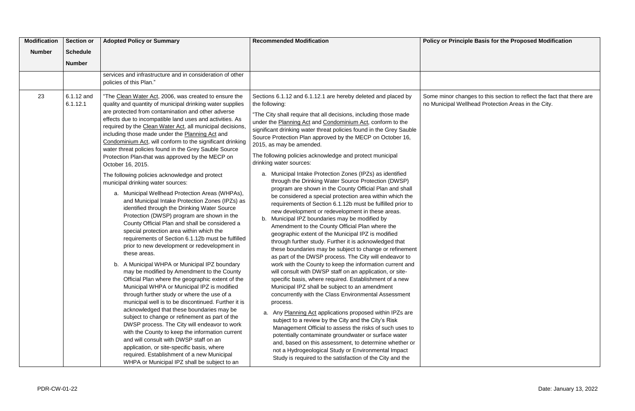inges to this section to reflect the fact that there are ellhead Protection Areas in the City.

| <b>Modification</b> | <b>Section or</b>      | <b>Adopted Policy or Summary</b>                                                                                                                                                                                                                                                                                                                                                                                                                                                                                                                                                                                                                                                                                                                                                                                                                                                                                                                                                                                                                                                                                                                                                                                                                                                                                                                                                                                                                                                                                                                                                                                                         | <b>Recommended Modification</b>                                                                                                                                                                                                                                                                                                                                                                                                                                                                                                                                                                                                                                                                                                                                                                                                                                                                                                                                                                                                                                                                                                                                                                                                                                                                                                                                                                                                                                                                                                                                                                                                                                                                                                       | <b>Policy or Princi</b>            |
|---------------------|------------------------|------------------------------------------------------------------------------------------------------------------------------------------------------------------------------------------------------------------------------------------------------------------------------------------------------------------------------------------------------------------------------------------------------------------------------------------------------------------------------------------------------------------------------------------------------------------------------------------------------------------------------------------------------------------------------------------------------------------------------------------------------------------------------------------------------------------------------------------------------------------------------------------------------------------------------------------------------------------------------------------------------------------------------------------------------------------------------------------------------------------------------------------------------------------------------------------------------------------------------------------------------------------------------------------------------------------------------------------------------------------------------------------------------------------------------------------------------------------------------------------------------------------------------------------------------------------------------------------------------------------------------------------|---------------------------------------------------------------------------------------------------------------------------------------------------------------------------------------------------------------------------------------------------------------------------------------------------------------------------------------------------------------------------------------------------------------------------------------------------------------------------------------------------------------------------------------------------------------------------------------------------------------------------------------------------------------------------------------------------------------------------------------------------------------------------------------------------------------------------------------------------------------------------------------------------------------------------------------------------------------------------------------------------------------------------------------------------------------------------------------------------------------------------------------------------------------------------------------------------------------------------------------------------------------------------------------------------------------------------------------------------------------------------------------------------------------------------------------------------------------------------------------------------------------------------------------------------------------------------------------------------------------------------------------------------------------------------------------------------------------------------------------|------------------------------------|
| <b>Number</b>       | <b>Schedule</b>        |                                                                                                                                                                                                                                                                                                                                                                                                                                                                                                                                                                                                                                                                                                                                                                                                                                                                                                                                                                                                                                                                                                                                                                                                                                                                                                                                                                                                                                                                                                                                                                                                                                          |                                                                                                                                                                                                                                                                                                                                                                                                                                                                                                                                                                                                                                                                                                                                                                                                                                                                                                                                                                                                                                                                                                                                                                                                                                                                                                                                                                                                                                                                                                                                                                                                                                                                                                                                       |                                    |
|                     | <b>Number</b>          |                                                                                                                                                                                                                                                                                                                                                                                                                                                                                                                                                                                                                                                                                                                                                                                                                                                                                                                                                                                                                                                                                                                                                                                                                                                                                                                                                                                                                                                                                                                                                                                                                                          |                                                                                                                                                                                                                                                                                                                                                                                                                                                                                                                                                                                                                                                                                                                                                                                                                                                                                                                                                                                                                                                                                                                                                                                                                                                                                                                                                                                                                                                                                                                                                                                                                                                                                                                                       |                                    |
|                     |                        |                                                                                                                                                                                                                                                                                                                                                                                                                                                                                                                                                                                                                                                                                                                                                                                                                                                                                                                                                                                                                                                                                                                                                                                                                                                                                                                                                                                                                                                                                                                                                                                                                                          |                                                                                                                                                                                                                                                                                                                                                                                                                                                                                                                                                                                                                                                                                                                                                                                                                                                                                                                                                                                                                                                                                                                                                                                                                                                                                                                                                                                                                                                                                                                                                                                                                                                                                                                                       |                                    |
|                     |                        | policies of this Plan."                                                                                                                                                                                                                                                                                                                                                                                                                                                                                                                                                                                                                                                                                                                                                                                                                                                                                                                                                                                                                                                                                                                                                                                                                                                                                                                                                                                                                                                                                                                                                                                                                  |                                                                                                                                                                                                                                                                                                                                                                                                                                                                                                                                                                                                                                                                                                                                                                                                                                                                                                                                                                                                                                                                                                                                                                                                                                                                                                                                                                                                                                                                                                                                                                                                                                                                                                                                       |                                    |
| 23                  | 6.1.12 and<br>6.1.12.1 | services and infrastructure and in consideration of other<br>"The Clean Water Act, 2006, was created to ensure the<br>quality and quantity of municipal drinking water supplies<br>are protected from contamination and other adverse<br>effects due to incompatible land uses and activities. As<br>required by the Clean Water Act, all municipal decisions,<br>including those made under the Planning Act and<br>Condominium Act, will conform to the significant drinking<br>water threat policies found in the Grey Sauble Source<br>Protection Plan-that was approved by the MECP on<br>October 16, 2015.<br>The following policies acknowledge and protect<br>municipal drinking water sources:<br>a. Municipal Wellhead Protection Areas (WHPAs),<br>and Municipal Intake Protection Zones (IPZs) as<br>identified through the Drinking Water Source<br>Protection (DWSP) program are shown in the<br>County Official Plan and shall be considered a<br>special protection area within which the<br>requirements of Section 6.1.12b must be fulfilled<br>prior to new development or redevelopment in<br>these areas.<br>b. A Municipal WHPA or Municipal IPZ boundary<br>may be modified by Amendment to the County<br>Official Plan where the geographic extent of the<br>Municipal WHPA or Municipal IPZ is modified<br>through further study or where the use of a<br>municipal well is to be discontinued. Further it is<br>acknowledged that these boundaries may be<br>subject to change or refinement as part of the<br>DWSP process. The City will endeavor to work<br>with the County to keep the information current | Sections 6.1.12 and 6.1.12.1 are hereby deleted and placed by<br>the following:<br>"The City shall require that all decisions, including those made<br>under the Planning Act and Condominium Act, conform to the<br>significant drinking water threat policies found in the Grey Sauble<br>Source Protection Plan approved by the MECP on October 16,<br>2015, as may be amended.<br>The following policies acknowledge and protect municipal<br>drinking water sources:<br>a. Municipal Intake Protection Zones (IPZs) as identified<br>through the Drinking Water Source Protection (DWSP)<br>program are shown in the County Official Plan and shall<br>be considered a special protection area within which the<br>requirements of Section 6.1.12b must be fulfilled prior to<br>new development or redevelopment in these areas.<br>Municipal IPZ boundaries may be modified by<br>b.<br>Amendment to the County Official Plan where the<br>geographic extent of the Municipal IPZ is modified<br>through further study. Further it is acknowledged that<br>these boundaries may be subject to change or refinement<br>as part of the DWSP process. The City will endeavor to<br>work with the County to keep the information current and<br>will consult with DWSP staff on an application, or site-<br>specific basis, where required. Establishment of a new<br>Municipal IPZ shall be subject to an amendment<br>concurrently with the Class Environmental Assessment<br>process.<br>Any Planning Act applications proposed within IPZs are<br>a.<br>subject to a review by the City and the City's Risk<br>Management Official to assess the risks of such uses to<br>potentially contaminate groundwater or surface water | Some minor char<br>no Municipal We |
|                     |                        | and will consult with DWSP staff on an<br>application, or site-specific basis, where<br>required. Establishment of a new Municipal<br>WHPA or Municipal IPZ shall be subject to an                                                                                                                                                                                                                                                                                                                                                                                                                                                                                                                                                                                                                                                                                                                                                                                                                                                                                                                                                                                                                                                                                                                                                                                                                                                                                                                                                                                                                                                       | and, based on this assessment, to determine whether or<br>not a Hydrogeological Study or Environmental Impact<br>Study is required to the satisfaction of the City and the                                                                                                                                                                                                                                                                                                                                                                                                                                                                                                                                                                                                                                                                                                                                                                                                                                                                                                                                                                                                                                                                                                                                                                                                                                                                                                                                                                                                                                                                                                                                                            |                                    |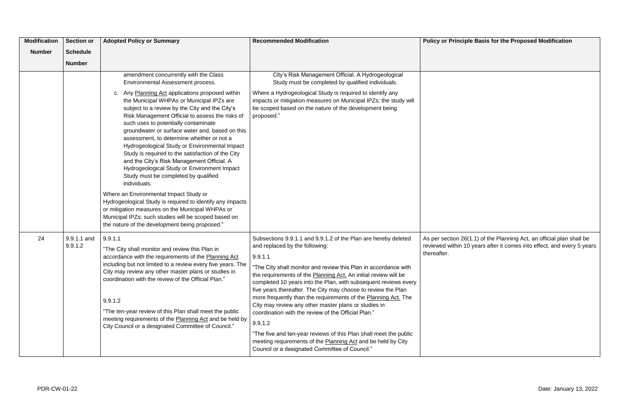| <b>Modification</b> | <b>Section or</b>      | <b>Adopted Policy or Summary</b>                                                                                                                                                                                                                                                                                                                                                                                                                                                                                                                                                                                                                                                                                                                                                                                                                                                                                                                            | <b>Recommended Modification</b>                                                                                                                                                                                                                                                                                                                                                                                                                                                                                                                                                                                                                                                                                                                                          | <b>Policy or Princi</b>                               |
|---------------------|------------------------|-------------------------------------------------------------------------------------------------------------------------------------------------------------------------------------------------------------------------------------------------------------------------------------------------------------------------------------------------------------------------------------------------------------------------------------------------------------------------------------------------------------------------------------------------------------------------------------------------------------------------------------------------------------------------------------------------------------------------------------------------------------------------------------------------------------------------------------------------------------------------------------------------------------------------------------------------------------|--------------------------------------------------------------------------------------------------------------------------------------------------------------------------------------------------------------------------------------------------------------------------------------------------------------------------------------------------------------------------------------------------------------------------------------------------------------------------------------------------------------------------------------------------------------------------------------------------------------------------------------------------------------------------------------------------------------------------------------------------------------------------|-------------------------------------------------------|
| <b>Number</b>       | <b>Schedule</b>        |                                                                                                                                                                                                                                                                                                                                                                                                                                                                                                                                                                                                                                                                                                                                                                                                                                                                                                                                                             |                                                                                                                                                                                                                                                                                                                                                                                                                                                                                                                                                                                                                                                                                                                                                                          |                                                       |
|                     | <b>Number</b>          |                                                                                                                                                                                                                                                                                                                                                                                                                                                                                                                                                                                                                                                                                                                                                                                                                                                                                                                                                             |                                                                                                                                                                                                                                                                                                                                                                                                                                                                                                                                                                                                                                                                                                                                                                          |                                                       |
|                     |                        | amendment concurrently with the Class<br>Environmental Assessment process.<br>Any Planning Act applications proposed within<br>C.<br>the Municipal WHPAs or Municipal IPZs are<br>subject to a review by the City and the City's<br>Risk Management Official to assess the risks of<br>such uses to potentially contaminate<br>groundwater or surface water and, based on this<br>assessment, to determine whether or not a<br>Hydrogeological Study or Environmental Impact<br>Study is required to the satisfaction of the City<br>and the City's Risk Management Official. A<br>Hydrogeological Study or Environment Impact<br>Study must be completed by qualified<br>individuals.<br>Where an Environmental Impact Study or<br>Hydrogeological Study is required to identify any impacts<br>or mitigation measures on the Municipal WHPAs or<br>Municipal IPZs; such studies will be scoped based on<br>the nature of the development being proposed." | City's Risk Management Official. A Hydrogeological<br>Study must be completed by qualified individuals.<br>Where a Hydrogeological Study is required to identify any<br>impacts or mitigation measures on Municipal IPZs; the study will<br>be scoped based on the nature of the development being<br>proposed."                                                                                                                                                                                                                                                                                                                                                                                                                                                         |                                                       |
| 24                  | 9.9.1.1 and<br>9.9.1.2 | 9.9.1.1<br>"The City shall monitor and review this Plan in<br>accordance with the requirements of the Planning Act<br>including but not limited to a review every five years. The<br>City may review any other master plans or studies in<br>coordination with the review of the Official Plan."<br>9.9.1.2<br>"The ten-year review of this Plan shall meet the public<br>meeting requirements of the Planning Act and be held by<br>City Council or a designated Committee of Council."                                                                                                                                                                                                                                                                                                                                                                                                                                                                    | Subsections 9.9.1.1 and 9.9.1.2 of the Plan are hereby deleted<br>and replaced by the following:<br>9.9.1.1<br>"The City shall monitor and review this Plan in accordance with<br>the requirements of the Planning Act. An initial review will be<br>completed 10 years into the Plan, with subsequent reviews every<br>five years thereafter. The City may choose to review the Plan<br>more frequently than the requirements of the Planning Act. The<br>City may review any other master plans or studies in<br>coordination with the review of the Official Plan."<br>9.9.1.2<br>"The five and ten-year reviews of this Plan shall meet the public<br>meeting requirements of the Planning Act and be held by City<br>Council or a designated Committee of Council." | As per section 26<br>reviewed within 1<br>thereafter. |

As per section 26(1.1) of the Planning Act, an official plan shall be reviewed within 10 years after it comes into effect, and every 5 years